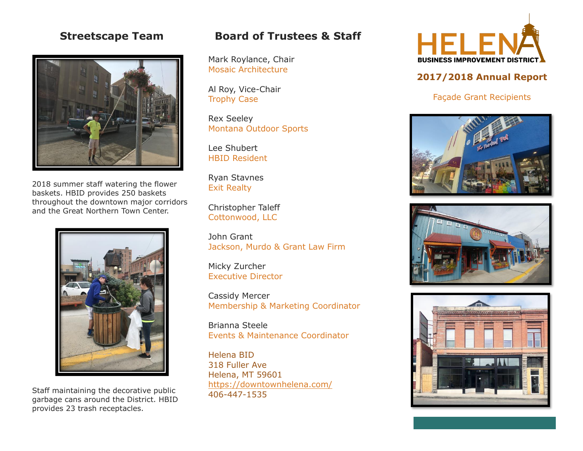# **Streetscape Team**



2018 summer staff watering the flower baskets. HBID provides 250 baskets throughout the downtown major corridors and the Great Northern Town Center.



Staff maintaining the decorative public garbage cans around the District. HBID provides 23 trash receptacles.

# **Board of Trustees & Staff**

Mark Roylance, Chair Mosaic Architecture

Al Roy, Vice-Chair Trophy Case

Rex Seeley Montana Outdoor Sports

Lee Shubert HBID Resident

Ryan Stavnes Exit Realty

Christopher Taleff Cottonwood, LLC

John Grant Jackson, Murdo & Grant Law Firm

Micky Zurcher Executive Director

Cassidy Mercer Membership & Marketing Coordinator

Brianna Steele Events & Maintenance Coordinator

Helena BID 318 Fuller Ave Helena, MT 59601 <https://downtownhelena.com/> 406-447-1535



## **2017/2018 Annual Report**

#### Façade Grant Recipients